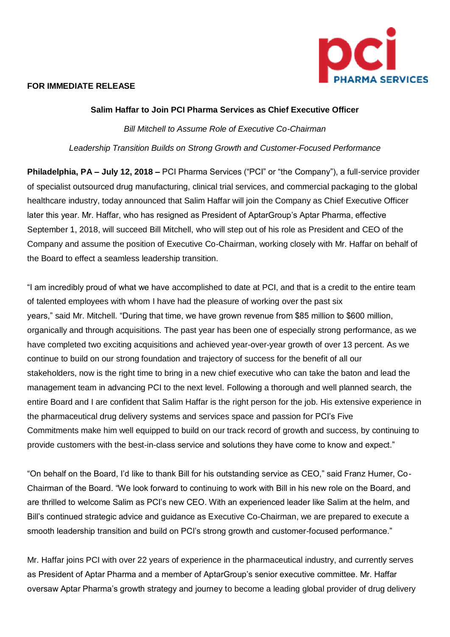

## **FOR IMMEDIATE RELEASE**

## **Salim Haffar to Join PCI Pharma Services as Chief Executive Officer**

*Bill Mitchell to Assume Role of Executive Co-Chairman Leadership Transition Builds on Strong Growth and Customer-Focused Performance*

**Philadelphia, PA – July 12, 2018 –** PCI Pharma Services ("PCI" or "the Company"), a full-service provider of specialist outsourced drug manufacturing, clinical trial services, and commercial packaging to the global healthcare industry, today announced that Salim Haffar will join the Company as Chief Executive Officer later this year. Mr. Haffar, who has resigned as President of AptarGroup's Aptar Pharma, effective September 1, 2018, will succeed Bill Mitchell, who will step out of his role as President and CEO of the Company and assume the position of Executive Co-Chairman, working closely with Mr. Haffar on behalf of the Board to effect a seamless leadership transition.

"I am incredibly proud of what we have accomplished to date at PCI, and that is a credit to the entire team of talented employees with whom I have had the pleasure of working over the past six years," said Mr. Mitchell. "During that time, we have grown revenue from \$85 million to \$600 million, organically and through acquisitions. The past year has been one of especially strong performance, as we have completed two exciting acquisitions and achieved year-over-year growth of over 13 percent. As we continue to build on our strong foundation and trajectory of success for the benefit of all our stakeholders, now is the right time to bring in a new chief executive who can take the baton and lead the management team in advancing PCI to the next level. Following a thorough and well planned search, the entire Board and I are confident that Salim Haffar is the right person for the job. His extensive experience in the pharmaceutical drug delivery systems and services space and passion for PCI's Five Commitments make him well equipped to build on our track record of growth and success, by continuing to provide customers with the best-in-class service and solutions they have come to know and expect."

"On behalf on the Board, I'd like to thank Bill for his outstanding service as CEO," said Franz Humer, Co-Chairman of the Board. "We look forward to continuing to work with Bill in his new role on the Board, and are thrilled to welcome Salim as PCI's new CEO. With an experienced leader like Salim at the helm, and Bill's continued strategic advice and guidance as Executive Co-Chairman, we are prepared to execute a smooth leadership transition and build on PCI's strong growth and customer-focused performance."

Mr. Haffar joins PCI with over 22 years of experience in the pharmaceutical industry, and currently serves as President of Aptar Pharma and a member of AptarGroup's senior executive committee. Mr. Haffar oversaw Aptar Pharma's growth strategy and journey to become a leading global provider of drug delivery